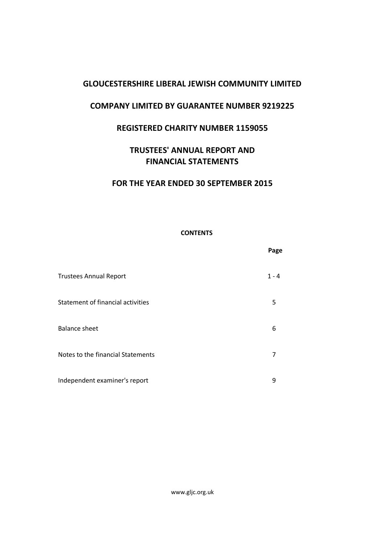# **COMPANY LIMITED BY GUARANTEE NUMBER 9219225**

# **REGISTERED CHARITY NUMBER 1159055**

# **TRUSTEES' ANNUAL REPORT AND FINANCIAL STATEMENTS**

# **FOR THE YEAR ENDED 30 SEPTEMBER 2015**

# **CONTENTS**

|                                   | Page    |
|-----------------------------------|---------|
| <b>Trustees Annual Report</b>     | $1 - 4$ |
| Statement of financial activities | 5       |
| <b>Balance sheet</b>              | 6       |
| Notes to the financial Statements | 7       |
| Independent examiner's report     | 9       |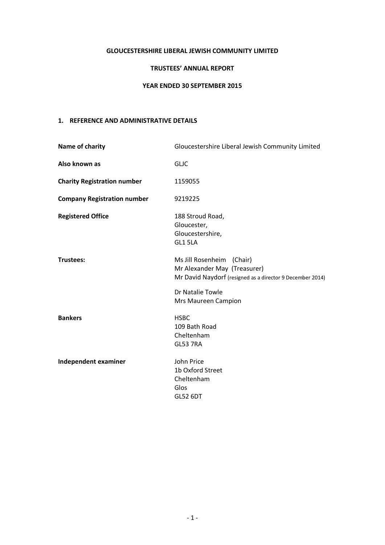# **TRUSTEES' ANNUAL REPORT**

# **YEAR ENDED 30 SEPTEMBER 2015**

# **1. REFERENCE AND ADMINISTRATIVE DETAILS**

| Name of charity                    | Gloucestershire Liberal Jewish Community Limited                                                                                                                  |
|------------------------------------|-------------------------------------------------------------------------------------------------------------------------------------------------------------------|
| Also known as                      | <b>GLJC</b>                                                                                                                                                       |
| <b>Charity Registration number</b> | 1159055                                                                                                                                                           |
| <b>Company Registration number</b> | 9219225                                                                                                                                                           |
| <b>Registered Office</b>           | 188 Stroud Road,<br>Gloucester,<br>Gloucestershire,<br>GL1 5LA                                                                                                    |
| Trustees:                          | Ms Jill Rosenheim (Chair)<br>Mr Alexander May (Treasurer)<br>Mr David Naydorf (resigned as a director 9 December 2014)<br>Dr Natalie Towle<br>Mrs Maureen Campion |
| <b>Bankers</b>                     | <b>HSBC</b><br>109 Bath Road<br>Cheltenham<br><b>GL53 7RA</b>                                                                                                     |
| Independent examiner               | John Price<br>1b Oxford Street<br>Cheltenham<br>Glos<br><b>GL52 6DT</b>                                                                                           |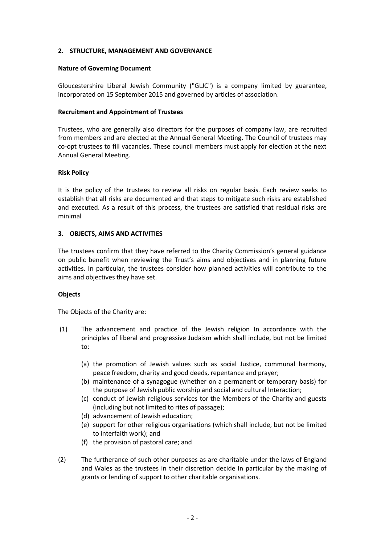# **2. STRUCTURE, MANAGEMENT AND GOVERNANCE**

## **Nature of Governing Document**

Gloucestershire Liberal Jewish Community ("GLJC") is a company limited by guarantee, incorporated on 15 September 2015 and governed by articles of association.

## **Recruitment and Appointment of Trustees**

Trustees, who are generally also directors for the purposes of company law, are recruited from members and are elected at the Annual General Meeting. The Council of trustees may co-opt trustees to fill vacancies. These council members must apply for election at the next Annual General Meeting.

### **Risk Policy**

It is the policy of the trustees to review all risks on regular basis. Each review seeks to establish that all risks are documented and that steps to mitigate such risks are established and executed. As a result of this process, the trustees are satisfied that residual risks are minimal

# **3. OBJECTS, AIMS AND ACTIVITIES**

The trustees confirm that they have referred to the Charity Commission's general guidance on public benefit when reviewing the Trust's aims and objectives and in planning future activities. In particular, the trustees consider how planned activities will contribute to the aims and objectives they have set.

#### **Objects**

The Objects of the Charity are:

- (1) The advancement and practice of the Jewish religion In accordance with the principles of liberal and progressive Judaism which shall include, but not be limited to:
	- (a) the promotion of Jewish values such as social Justice, communal harmony, peace freedom, charity and good deeds, repentance and prayer;
	- (b) maintenance of a synagogue (whether on a permanent or temporary basis) for the purpose of Jewish public worship and social and cultural Interaction;
	- (c) conduct of Jewish religious services tor the Members of the Charity and guests (including but not limited to rites of passage);
	- (d) advancement of Jewish education;
	- (e) support for other religious organisations (which shall include, but not be limited to interfaith work); and
	- (f) the provision of pastoral care; and
- (2) The furtherance of such other purposes as are charitable under the laws of England and Wales as the trustees in their discretion decide In particular by the making of grants or lending of support to other charitable organisations.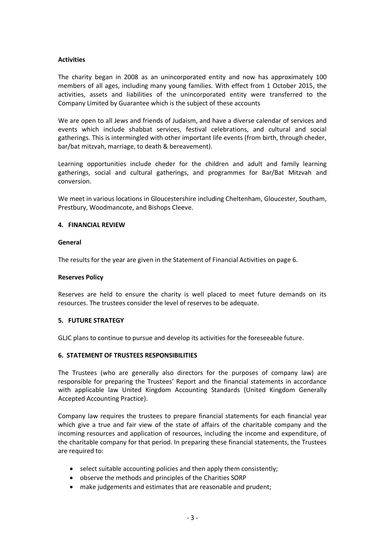# **Activities**

The charity began in 2008 as an unincorporated entity and now has approximately 100 members of all ages, including many young families. With effect from 1 October 2015, the activities, assets and liabilities of the unincorporated entity were transferred to the Company Limited by Guarantee which is the subject of these accounts

We are open to all Jews and friends of Judaism, and have a diverse calendar of services and events which include shabbat services, festival celebrations, and cultural and social gatherings. This is intermingled with other important life events (from birth, through cheder, bar/bat mitzvah, marriage, to death & bereavement).

Learning opportunities include cheder for the children and adult and family learning gatherings, social and cultural gatherings, and programmes for Bar/Bat Mitzvah and conversion.

We meet in various locations in Gloucestershire including Cheltenham, Gloucester, Southam, Prestbury, Woodmancote, and Bishops Cleeve.

# **4. FINANCIAL REVIEW**

### **General**

The results for the year are given in the Statement of Financial Activities on page 6.

#### **Reserves Policy**

Reserves are held to ensure the charity is well placed to meet future demands on its resources. The trustees consider the level of reserves to be adequate.

#### **5. FUTURE STRATEGY**

GLJC plans to continue to pursue and develop its activities for the foreseeable future.

#### **6. STATEMENT OF TRUSTEES RESPONSIBILITIES**

The Trustees (who are generally also directors for the purposes of company law) are responsible for preparing the Trustees' Report and the financial statements in accordance with applicable law United Kingdom Accounting Standards (United Kingdom Generally Accepted Accounting Practice).

Company law requires the trustees to prepare financial statements for each financial year which give a true and fair view of the state of affairs of the charitable company and the incoming resources and application of resources, including the income and expenditure, of the charitable company for that period. In preparing these financial statements, the Trustees are required to:

- select suitable accounting policies and then apply them consistently;
- observe the methods and principles of the Charities SORP
- make judgements and estimates that are reasonable and prudent;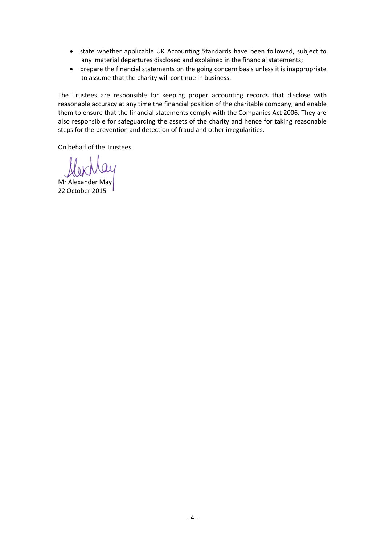- state whether applicable UK Accounting Standards have been followed, subject to any material departures disclosed and explained in the financial statements;
- prepare the financial statements on the going concern basis unless it is inappropriate to assume that the charity will continue in business.

The Trustees are responsible for keeping proper accounting records that disclose with reasonable accuracy at any time the financial position of the charitable company, and enable them to ensure that the financial statements comply with the Companies Act 2006. They are also responsible for safeguarding the assets of the charity and hence for taking reasonable steps for the prevention and detection of fraud and other irregularities.

On behalf of the Trustees

Mr Alexander May 22 October 2015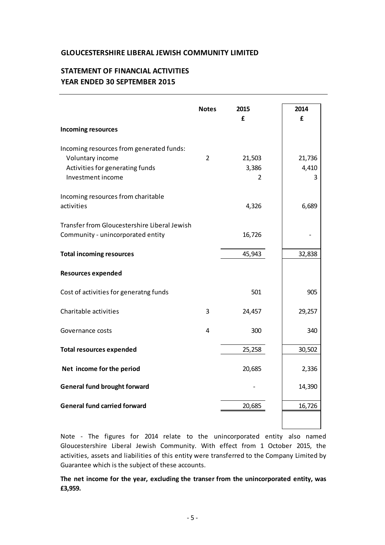# **STATEMENT OF FINANCIAL ACTIVITIES YEAR ENDED 30 SEPTEMBER 2015**

|                                                                                                                      | <b>Notes</b>   | 2015<br>£            | 2014<br>£            |
|----------------------------------------------------------------------------------------------------------------------|----------------|----------------------|----------------------|
| <b>Incoming resources</b>                                                                                            |                |                      |                      |
| Incoming resources from generated funds:<br>Voluntary income<br>Activities for generating funds<br>Investment income | $\overline{2}$ | 21,503<br>3,386<br>2 | 21,736<br>4,410<br>3 |
| Incoming resources from charitable<br>activities                                                                     |                | 4,326                | 6,689                |
| <b>Transfer from Gloucestershire Liberal Jewish</b><br>Community - unincorporated entity                             |                | 16,726               |                      |
| <b>Total incoming resources</b>                                                                                      |                | 45,943               | 32,838               |
| <b>Resources expended</b>                                                                                            |                |                      |                      |
| Cost of activities for generatng funds                                                                               |                | 501                  | 905                  |
| Charitable activities                                                                                                | 3              | 24,457               | 29,257               |
| Governance costs                                                                                                     | 4              | 300                  | 340                  |
| <b>Total resources expended</b>                                                                                      |                | 25,258               | 30,502               |
| Net income for the period                                                                                            |                | 20,685               | 2,336                |
| <b>General fund brought forward</b>                                                                                  |                |                      | 14,390               |
| <b>General fund carried forward</b>                                                                                  |                | 20,685               | 16,726               |
|                                                                                                                      |                |                      |                      |

Note - The figures for 2014 relate to the unincorporated entity also named Gloucestershire Liberal Jewish Community. With effect from 1 October 2015, the activities, assets and liabilities of this entity were transferred to the Company Limited by Guarantee which is the subject of these accounts.

**The net income for the year, excluding the transer from the unincorporated entity, was £3,959.**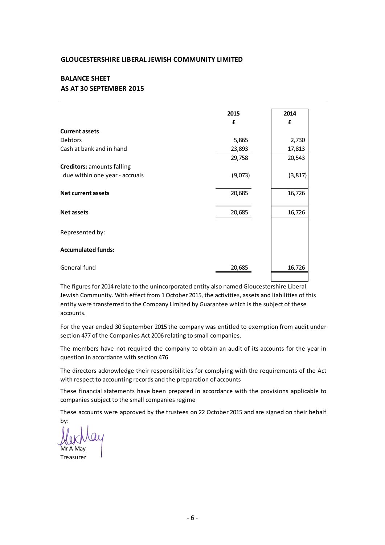# **AS AT 30 SEPTEMBER 2015 BALANCE SHEET**

|                                   | 2015    | 2014     |
|-----------------------------------|---------|----------|
|                                   | £       | £        |
| <b>Current assets</b>             |         |          |
| Debtors                           | 5,865   | 2,730    |
| Cash at bank and in hand          | 23,893  | 17,813   |
|                                   | 29,758  | 20,543   |
| <b>Creditors: amounts falling</b> |         |          |
| due within one year - accruals    | (9,073) | (3, 817) |
| <b>Net current assets</b>         | 20,685  | 16,726   |
| <b>Net assets</b>                 | 20,685  | 16,726   |
| Represented by:                   |         |          |
| <b>Accumulated funds:</b>         |         |          |
| General fund                      | 20,685  | 16,726   |

For the year ended 30 September 2015 the company was entitled to exemption from audit under<br>For the year ended 30 September 2015 the company was entitled to exemption from audit under<br>section 477 of the Companies Act 2006 The figures for 2014 relate to the unincorporated entity also named Gloucestershire Liberal Jewish Community. With effect from 1 October 2015, the activities, assets and liabilities of this accounts.

section 477 of the Companies Act 2006 relating to small companies. For the year ended 30 September 2015 the company was entitled to exemption from audit under

question in accordance with section 476 The members have not required the company to obtain an audit of its accounts for the year in question in accordance with section 476<br>The directors acknowledge their responsibilities for complying with the requirements of t

with respect to accounting records and the preparation of accounts The directors acknowledge their responsibilities for complying with the requirements of the Act<br>with respect to accounting records and the preparation of accounts<br>These financial statements have been prepared in accordance

companies subject to the small companies regime These financial statements have been prepared in accordance with the provisions applicable to companies subject to the small companies regime<br>These accounts were approved by the trustees on 22 October 2015 and are signed o

by:

.<br>Mr A Mai Treasurer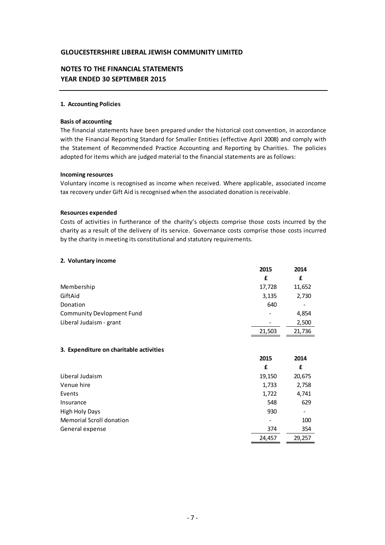# **NOTES TO THE FINANCIAL STATEMENTS YEAR ENDED 30 SEPTEMBER 2015**

## **1. Accounting Policies**

### **Basis of accounting**

The financial statements have been prepared under the historical cost convention, i n accordance with the Financial Reporting Standard for Smaller Entities (effective April 2008) and comply with the Statement of Recommended Practice Accounting and Reporting by Charities. The policies adopted for items which are judged material to the financial statements are as follows:

#### **Incoming resources**

Voluntary income is recognised as income when received. Where applicable, associated income tax recovery under Gift Aid is recognised when the associated donation is receivable.

#### **Resources expended**

Costs of activities in furtherance of the charity's objects comprise those costs incurred by the charity as a result of the delivery of its service. Governance costs comprise those costs incurred by the charity in meeting its constitutional and statutory requirements.

#### **2. Voluntary income**

|                                         | 2015   | 2014   |
|-----------------------------------------|--------|--------|
|                                         | £      | £      |
| Membership                              | 17,728 | 11,652 |
| GiftAid                                 | 3,135  | 2,730  |
| Donation                                | 640    |        |
| <b>Community Devlopment Fund</b>        |        | 4,854  |
| Liberal Judaism - grant                 |        | 2,500  |
|                                         | 21,503 | 21,736 |
|                                         |        |        |
| 3. Expenditure on charitable activities |        |        |
|                                         | 2015   | 2014   |
|                                         | £      | £      |
| Liberal Judaism                         | 19,150 | 20,675 |
| Venue hire                              | 1,733  | 2,758  |
| Events                                  | 1,722  | 4,741  |
| Insurance                               | 548    | 629    |
| <b>High Holy Days</b>                   | 930    |        |
| <b>Memorial Scroll donation</b>         |        | 100    |
| General expense                         | 374    | 354    |
|                                         |        |        |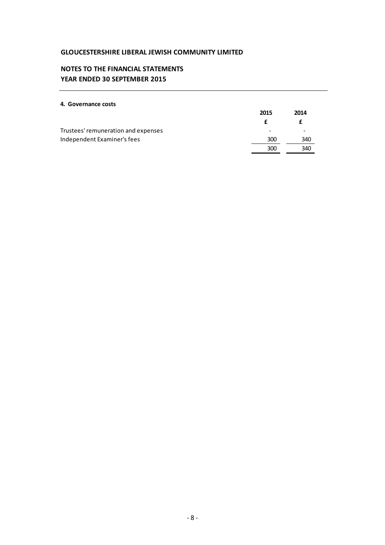# **NOTES TO THE FINANCIAL STATEMENTS YEAR ENDED 30 SEPTEMBER 2015**

## **4. Governance costs**

|                                     | 2015 | 2014 |
|-------------------------------------|------|------|
|                                     |      |      |
| Trustees' remuneration and expenses | -    |      |
| Independent Examiner's fees         | 300  | 340  |
|                                     | 300  | 340  |